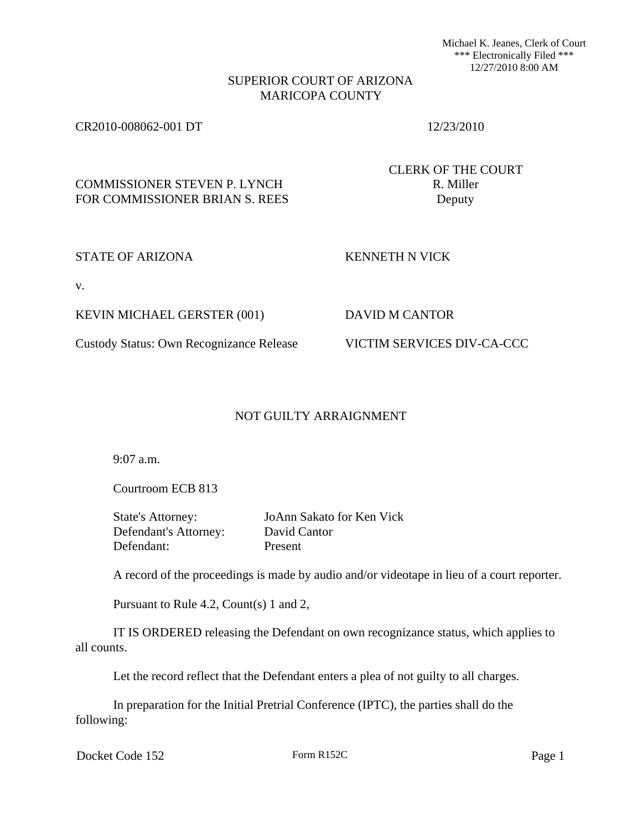Michael K. Jeanes, Clerk of Court \*\*\* Electronically Filed \*\*\* 12/27/2010 8:00 AM

## SUPERIOR COURT OF ARIZONA MARICOPA COUNTY

## CR2010-008062-001 DT 12/23/2010

CLERK OF THE COURT

# COMMISSIONER STEVEN P. LYNCH R. Miller FOR COMMISSIONER BRIAN S. REES Deputy

### STATE OF ARIZONA KENNETH N VICK

v.

KEVIN MICHAEL GERSTER (001) DAVID M CANTOR

## Custody Status: Own Recognizance Release VICTIM SERVICES DIV-CA-CCC

## NOT GUILTY ARRAIGNMENT

9:07 a.m.

Courtroom ECB 813

State's Attorney: JoAnn Sakato for Ken Vick Defendant's Attorney: David Cantor Defendant: Present

A record of the proceedings is made by audio and/or videotape in lieu of a court reporter.

Pursuant to Rule 4.2, Count(s) 1 and 2,

IT IS ORDERED releasing the Defendant on own recognizance status, which applies to all counts.

Let the record reflect that the Defendant enters a plea of not guilty to all charges.

In preparation for the Initial Pretrial Conference (IPTC), the parties shall do the following:

Docket Code 152 Form R152C Page 1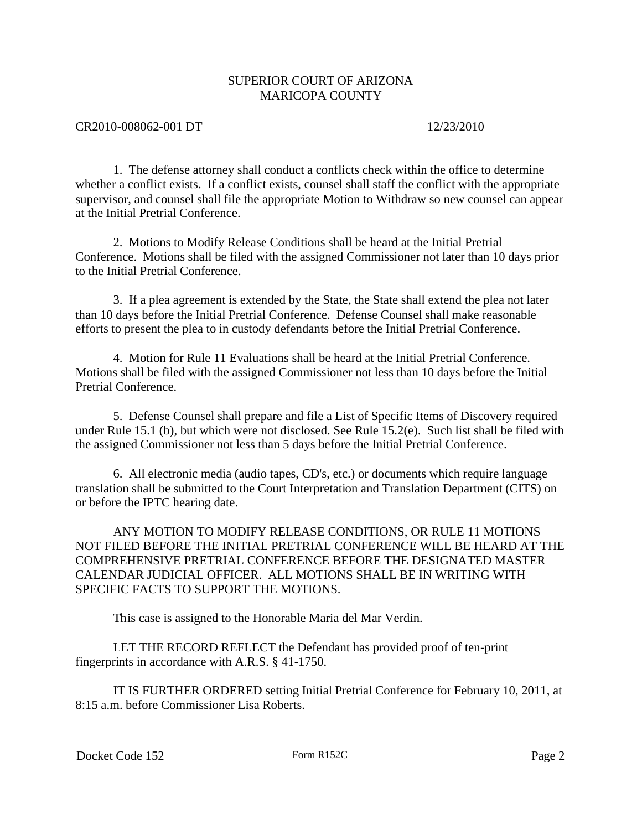## SUPERIOR COURT OF ARIZONA MARICOPA COUNTY

### CR2010-008062-001 DT 12/23/2010

1. The defense attorney shall conduct a conflicts check within the office to determine whether a conflict exists. If a conflict exists, counsel shall staff the conflict with the appropriate supervisor, and counsel shall file the appropriate Motion to Withdraw so new counsel can appear at the Initial Pretrial Conference.

2. Motions to Modify Release Conditions shall be heard at the Initial Pretrial Conference. Motions shall be filed with the assigned Commissioner not later than 10 days prior to the Initial Pretrial Conference.

3. If a plea agreement is extended by the State, the State shall extend the plea not later than 10 days before the Initial Pretrial Conference. Defense Counsel shall make reasonable efforts to present the plea to in custody defendants before the Initial Pretrial Conference.

4. Motion for Rule 11 Evaluations shall be heard at the Initial Pretrial Conference. Motions shall be filed with the assigned Commissioner not less than 10 days before the Initial Pretrial Conference.

5. Defense Counsel shall prepare and file a List of Specific Items of Discovery required under Rule 15.1 (b), but which were not disclosed. See Rule 15.2(e). Such list shall be filed with the assigned Commissioner not less than 5 days before the Initial Pretrial Conference.

6. All electronic media (audio tapes, CD's, etc.) or documents which require language translation shall be submitted to the Court Interpretation and Translation Department (CITS) on or before the IPTC hearing date.

ANY MOTION TO MODIFY RELEASE CONDITIONS, OR RULE 11 MOTIONS NOT FILED BEFORE THE INITIAL PRETRIAL CONFERENCE WILL BE HEARD AT THE COMPREHENSIVE PRETRIAL CONFERENCE BEFORE THE DESIGNATED MASTER CALENDAR JUDICIAL OFFICER. ALL MOTIONS SHALL BE IN WRITING WITH SPECIFIC FACTS TO SUPPORT THE MOTIONS.

This case is assigned to the Honorable Maria del Mar Verdin.

LET THE RECORD REFLECT the Defendant has provided proof of ten-print fingerprints in accordance with A.R.S. § 41-1750.

IT IS FURTHER ORDERED setting Initial Pretrial Conference for February 10, 2011, at 8:15 a.m. before Commissioner Lisa Roberts.